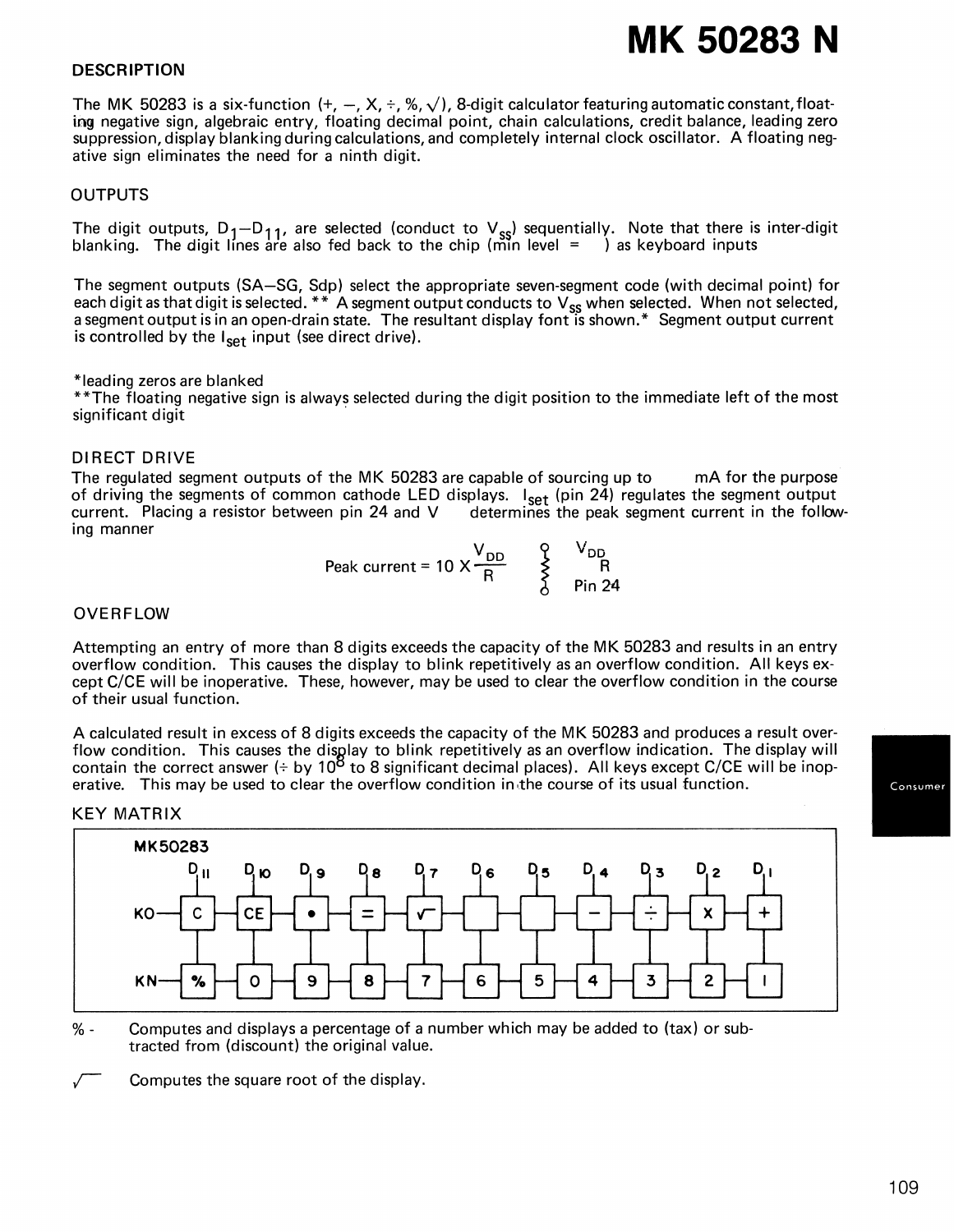# **MK 50283 N**

## **DESCRIPTION**

The MK 50283 is a six-function  $(+, -, X, \div, %, \sqrt{})$ , 8-digit calculator featuring automatic constant, floating negative sign, algebraic entry, floating decimal point, chain calculations, credit balance, leading zero suppression, display blanking during calculations, and completely internal clock oscillator. A floating negative sign eliminates the need for a ninth digit.

## OUTPUTS

The digit outputs,  $D_1-D_{11}$ , are selected (conduct to  $V_{ss}$ ) sequentially. Note that there is inter-digit blanking. The digit lines are also fed back to the chip (min level <code>= )</code> as keyboard inputs

The segment outputs (SA-SG, Sdp) select the appropriate seven-segment code (with decimal point) for each digit as that digit is selected. \* \* A segment output conducts to V<sub>ss</sub> when selected. When not selected, a segment output is in an open-drain state. The resultant display font is shown.\* Segment output current is controlled by the  $I_{\text{set}}$  input (see direct drive).

#### \*leading zeros are blanked

\*\*The floating negative sign is always selected during the digit position to the immediate left of the most significant digit

### DIRECT DRIVE

The regulated segment outputs of the MK 50283 are capable of sourcing up to mA for the purpose of driving the segments of common cathode LED displays. I<sub>set</sub> (pin 24) regulates the segment output current. Placing a resistor between pin 24 and V  $\;\;\;\;$  determines the peak segment current in the following manner

$$
Peak current = 10 \times \frac{V_{DD}}{R} \times \frac{V_{DD}}{R}
$$
 
$$
\frac{V_{DD}}{P_{in} 24}
$$

#### OVERFLOW

Attempting an entry of more than 8 digits exceeds the capacity of the MK 50283 and results in an entry overflow condition. This causes the display to blink repetitively as an overflow condition. All keys except C/CE will be inoperative. These, however, may be used to clear the overflow condition in the course of their usual function.

A calculated result in excess of 8 digits exceeds the capacity of the MK 50283 and produces a result overflow condition. This causes the disglay to blink repetitively as an overflow indication. The display will contain the correct answer (÷ by 10<sup>8</sup> to 8 significant decimal places). All keys except C/CE will be inoperative. This may be used to clear the overflow condition in.the course of its usual function.

#### KEY MATRIX



% - Computes and displays a percentage of a number which may be added to (tax) or subtracted from (discount) the original value.

Computes the square root of the display.

109

Consumer